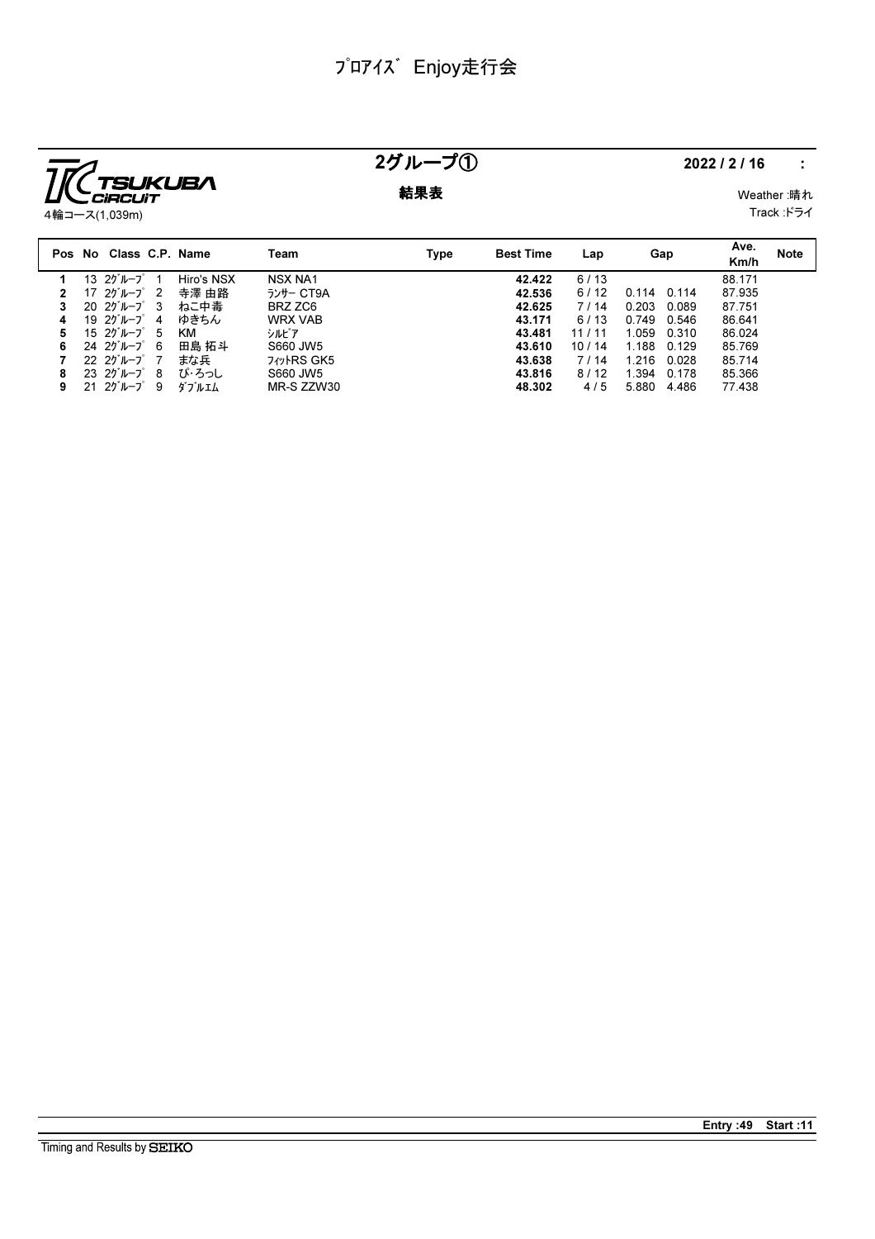

# $25\mu - 70$  2022/2/16 :

**結果表** Weather :晴れ

Track :ドライ

|    | Pos No Class C.P. Name                                                   |            | Team                 | Type | <b>Best Time</b> | Lap   | Gap            | Ave.<br>Km/h | <b>Note</b> |
|----|--------------------------------------------------------------------------|------------|----------------------|------|------------------|-------|----------------|--------------|-------------|
|    | 13 $25^{\circ}$ $1 - 7^{\circ}$                                          | Hiro's NSX | <b>NSX NA1</b>       |      | 42.422           | 6/13  |                | 88.171       |             |
|    | 17 $25^{\circ}$ $\mu$ $-7^{\circ}$ 2                                     | 寺澤 由路      | ランサー CT9A            |      | 42.536           | 6/12  | 0.114<br>በ 114 | 87.935       |             |
|    | $2025$ <sup><math>\mu</math></sup> $-2$ <sup><math>\sigma</math></sup> 3 | ねこ中毒       | BRZ ZC6              |      | 42.625           | 7/14  | 0.203<br>0.089 | 87.751       |             |
| 4  | 19 $25^{\circ}$ $\mu$ $-7^{\circ}$ 4                                     | ゆきちん       | <b>WRX VAB</b>       |      | 43.171           | 6/13  | 0.546<br>0.749 | 86.641       |             |
| 5. | $1520^{\circ}$ $\mu$ -J $\degree$ 5                                      | КM         | シルドア                 |      | 43.481           | 11/11 | 1.059<br>0.310 | 86.024       |             |
| 6  | $2425$ <sup><math>\mu</math></sup> $-2$ <sup><math>\sigma</math></sup> 6 | 田島 拓斗      | S660 JW5             |      | 43.610           | 10/14 | 1.188<br>0.129 | 85.769       |             |
|    | $22 \t27^{\circ} \nu - 7^{\circ}$ 7                                      | まな兵        | <b>7</b> Tyle RS GK5 |      | 43.638           | 7/14  | 1 216<br>0.028 | 85.714       |             |
| 8  | $23 \t20^{\circ}$ $\mu - 7^{\circ}$ 8                                    | ぴ・ろっし      | S660 JW5             |      | 43.816           | 8/12  | 1.394<br>0.178 | 85.366       |             |
| 9. | $2125\% - 789$                                                           | ダブルエム      | MR-S ZZW30           |      | 48.302           | 4/5   | 5.880<br>4.486 | 77.438       |             |
|    |                                                                          |            |                      |      |                  |       |                |              |             |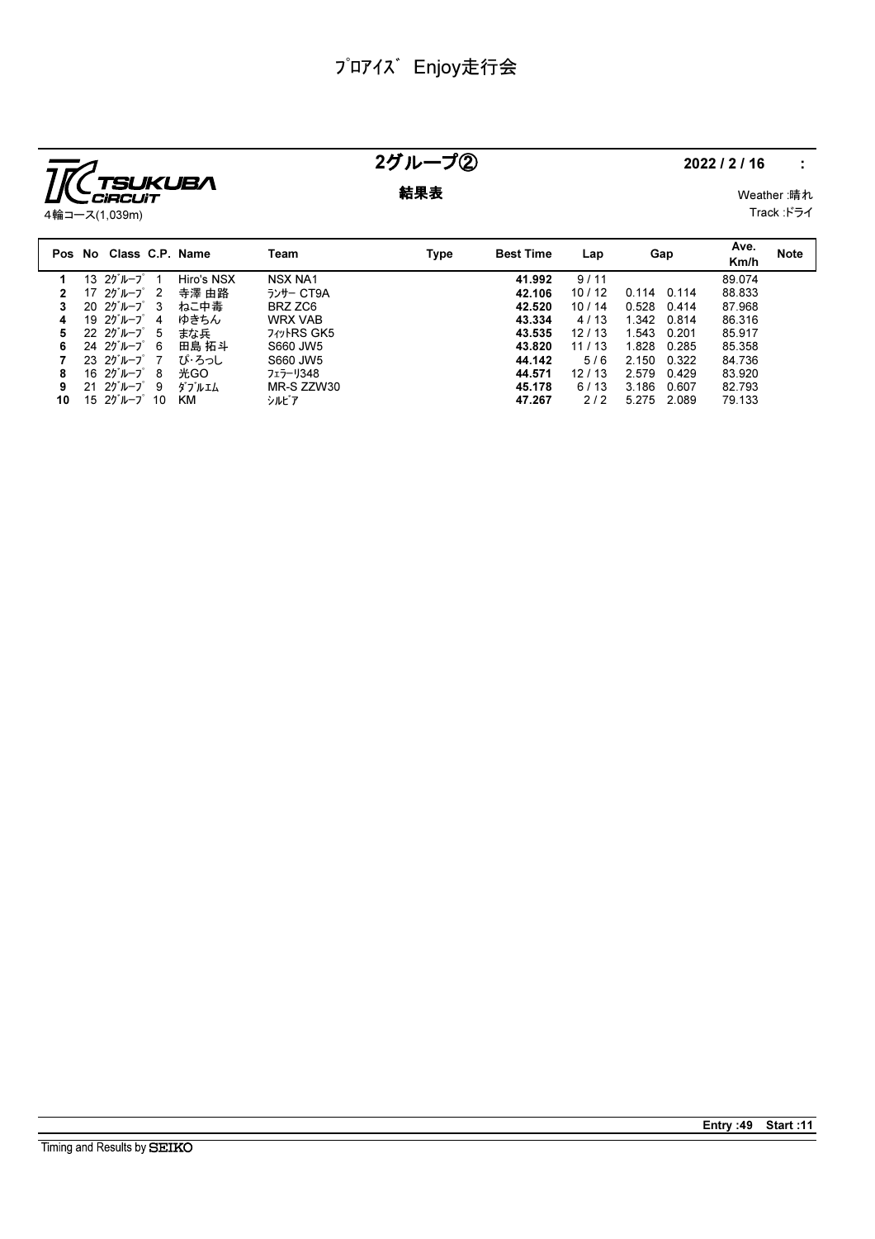

### 2グループ② 2022/2/16 :

**結果表** Weather :晴れ

4輪コース(1,039m)

Track :ドライ

|    | Pos No Class C.P. Name                                                   |            | Team                       | Type | <b>Best Time</b> | Lap   | Gap            | Ave.<br>Km/h | <b>Note</b> |
|----|--------------------------------------------------------------------------|------------|----------------------------|------|------------------|-------|----------------|--------------|-------------|
|    | 13 $25^{\circ}$ $\sim$ $-7^{\circ}$                                      | Hiro's NSX | <b>NSX NA1</b>             |      | 41.992           | 9/11  |                | 89.074       |             |
|    | 17 $25^{\circ}$ $\mu$ $-7^{\circ}$ 2                                     | 寺澤 由路      | ランサー CT9A                  |      | 42.106           | 10/12 | 0.114<br>0.114 | 88.833       |             |
|    | $2025$ <sup><math>\mu</math></sup> $-2$ <sup><math>\sigma</math></sup> 3 | ねこ中毒       | BRZ ZC6                    |      | 42.520           | 10/14 | 0.528<br>0.414 | 87.968       |             |
| 4  | 19 $25^{\circ}$ $\mu$ $-7^{\circ}$ 4                                     | ゆきちん       | <b>WRX VAB</b>             |      | 43.334           | 4/13  | 1.342<br>0.814 | 86.316       |             |
| 5. | $22 \t20^{\circ}$ $\mu$ $-7^{\circ}$ 5                                   | まな兵        | <b>7</b> <i>tv</i> ·RS GK5 |      | 43.535           | 12/13 | 1.543<br>0.201 | 85.917       |             |
| 6. | 24 $20^{\circ}$ $\mu$ $-7^{\circ}$ 6                                     | 田島 拓斗      | S660 JW5                   |      | 43.820           | 11/13 | 1.828<br>0.285 | 85.358       |             |
|    | $2325\,\nu-\nu$ 7                                                        | ぴ・ろっし      | S660 JW5                   |      | 44.142           | 5/6   | 2.150<br>0.322 | 84.736       |             |
| 8  | 16 $25^{\circ}$ $\mu$ $-7^{\circ}$ 8                                     | 光GO        | フェラーリ348                   |      | 44.571           | 12/13 | 2.579<br>0.429 | 83.920       |             |
| 9  | $2120^{\circ}$ $\mu$ $ 7^{\circ}$ 9                                      | ダブルエム      | MR-S ZZW30                 |      | 45.178           | 6/13  | 3.186<br>0.607 | 82.793       |             |
| 10 | 15 $25 - 7$ 10                                                           | ĸм         | シルビア                       |      | 47.267           | 212   | 5.275 2.089    | 79.133       |             |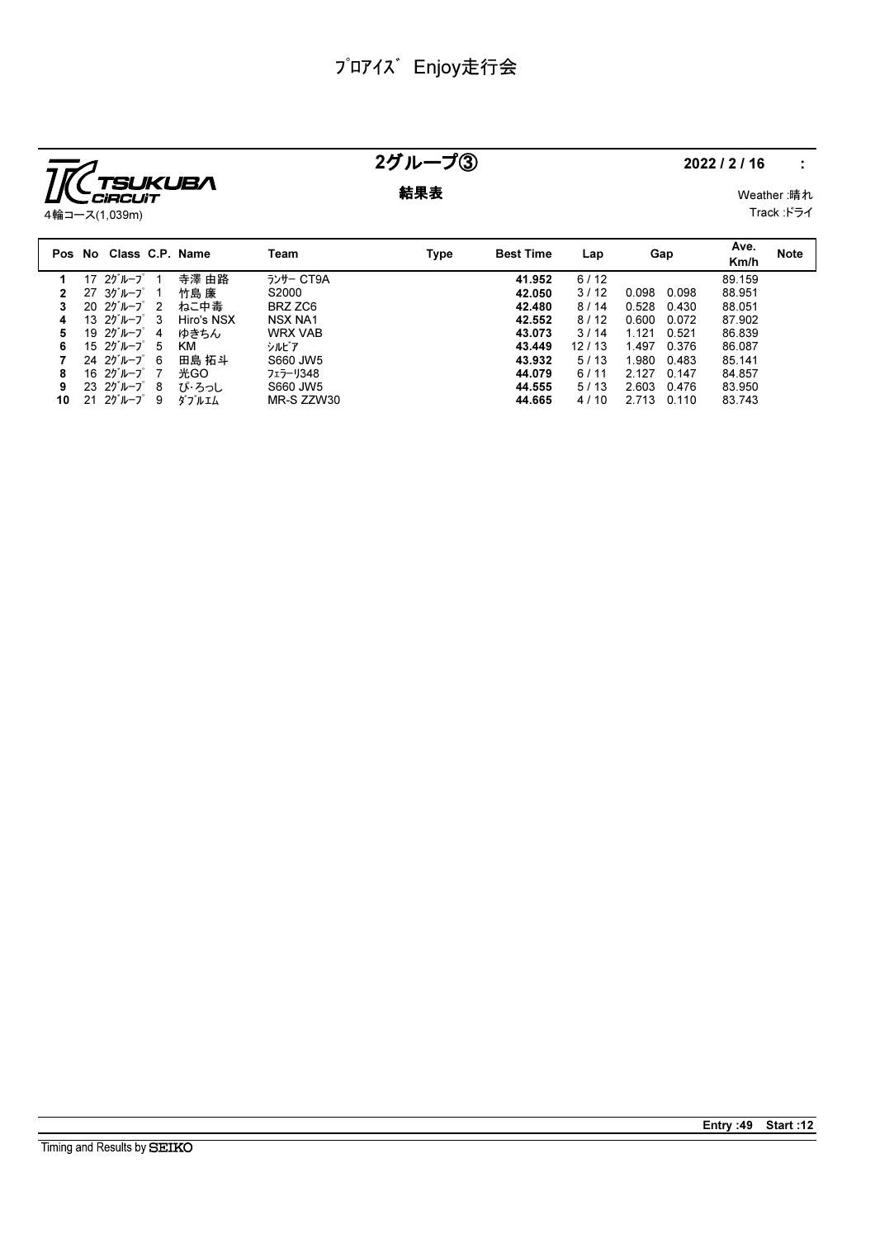

### 2グループ③ 2022/2/16 :

**結果表** Weather :晴れ

Track :ドライ

|    | Pos No Class C.P. Name                 |            | Team           | Type | <b>Best Time</b> | Lap   | Gap            | Ave.<br>Km/h | <b>Note</b> |
|----|----------------------------------------|------------|----------------|------|------------------|-------|----------------|--------------|-------------|
|    | 17 $25^{\circ}$ $\sim$ $-7^{\circ}$    | 寺澤 由路      | ランサー CT9A      |      | 41.952           | 6/12  |                | 89.159       |             |
|    | $27 \t37 \t1 - 7 \t1$                  | 竹島 廉       | S2000          |      | 42.050           | 3/12  | 0.098<br>0.098 | 88.951       |             |
| 3  | $2025\% - 722$                         | ねこ中毒       | BRZ ZC6        |      | 42.480           | 8/14  | 0.528<br>0.430 | 88.051       |             |
|    | 13 $25 - 7$ 3                          | Hiro's NSX | <b>NSX NA1</b> |      | 42.552           | 8/12  | 0.600<br>0.072 | 87.902       |             |
| 5. | 19 $25^{\circ}$ $\mu$ $-7^{\circ}$ 4   | ゆきちん       | <b>WRX VAB</b> |      | 43.073           | 3/14  | 1.121<br>0.521 | 86.839       |             |
| 6  | 15 $20^{\circ}$ $\mu$ - $7^{\circ}$ 5  | КM         | シルビア           |      | 43.449           | 12/13 | 1.497<br>0.376 | 86.087       |             |
|    | $24 \t20^{\circ}$ $\mu$ $-7^{\circ}$ 6 | 田島 拓斗      | S660 JW5       |      | 43.932           | 5/13  | 1.980<br>0.483 | 85.141       |             |
| 8  | 16 $25^{\circ}$ $\mu$ $-7^{\circ}$ 7   | 光GO        | フェラーリ348       |      | 44.079           | 6/11  | 2.127<br>0.147 | 84.857       |             |
| 9  | $23 \t20^{\circ} \nu - 7^{\circ} 8$    | ぴ・ろっし      | S660 JW5       |      | 44.555           | 5/13  | 2.603<br>0.476 | 83.950       |             |
| 10 | $2125\mu-7$ 9                          | ダブルエム      | MR-S ZZW30     |      | 44.665           | 4/10  | 2.713<br>0.110 | 83.743       |             |